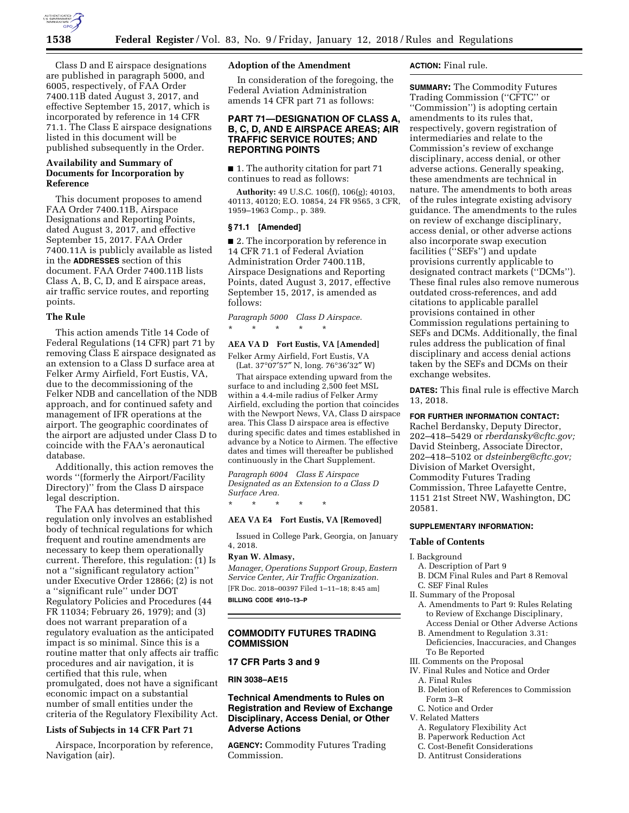

Class D and E airspace designations are published in paragraph 5000, and 6005, respectively, of FAA Order 7400.11B dated August 3, 2017, and effective September 15, 2017, which is incorporated by reference in 14 CFR 71.1. The Class E airspace designations listed in this document will be published subsequently in the Order.

# **Availability and Summary of Documents for Incorporation by Reference**

This document proposes to amend FAA Order 7400.11B, Airspace Designations and Reporting Points, dated August 3, 2017, and effective September 15, 2017. FAA Order 7400.11A is publicly available as listed in the **ADDRESSES** section of this document. FAA Order 7400.11B lists Class A, B, C, D, and E airspace areas, air traffic service routes, and reporting points.

## **The Rule**

This action amends Title 14 Code of Federal Regulations (14 CFR) part 71 by removing Class E airspace designated as an extension to a Class D surface area at Felker Army Airfield, Fort Eustis, VA, due to the decommissioning of the Felker NDB and cancellation of the NDB approach, and for continued safety and management of IFR operations at the airport. The geographic coordinates of the airport are adjusted under Class D to coincide with the FAA's aeronautical database.

Additionally, this action removes the words ''(formerly the Airport/Facility Directory)'' from the Class D airspace legal description.

The FAA has determined that this regulation only involves an established body of technical regulations for which frequent and routine amendments are necessary to keep them operationally current. Therefore, this regulation: (1) Is not a ''significant regulatory action'' under Executive Order 12866; (2) is not a ''significant rule'' under DOT Regulatory Policies and Procedures (44 FR 11034; February 26, 1979); and (3) does not warrant preparation of a regulatory evaluation as the anticipated impact is so minimal. Since this is a routine matter that only affects air traffic procedures and air navigation, it is certified that this rule, when promulgated, does not have a significant economic impact on a substantial number of small entities under the criteria of the Regulatory Flexibility Act.

## **Lists of Subjects in 14 CFR Part 71**

Airspace, Incorporation by reference, Navigation (air).

## **Adoption of the Amendment**

In consideration of the foregoing, the Federal Aviation Administration amends 14 CFR part 71 as follows:

## **PART 71—DESIGNATION OF CLASS A, B, C, D, AND E AIRSPACE AREAS; AIR TRAFFIC SERVICE ROUTES; AND REPORTING POINTS**

■ 1. The authority citation for part 71 continues to read as follows:

**Authority:** 49 U.S.C. 106(f), 106(g); 40103, 40113, 40120; E.O. 10854, 24 FR 9565, 3 CFR, 1959–1963 Comp., p. 389.

### **§ 71.1 [Amended]**

■ 2. The incorporation by reference in 14 CFR 71.1 of Federal Aviation Administration Order 7400.11B, Airspace Designations and Reporting Points, dated August 3, 2017, effective September 15, 2017, is amended as follows:

*Paragraph 5000 Class D Airspace.* 

\* \* \* \* \*

### **AEA VA D Fort Eustis, VA [Amended]**

Felker Army Airfield, Fort Eustis, VA (Lat. 37°07′57″ N, long. 76°36′32″ W)

That airspace extending upward from the surface to and including 2,500 feet MSL within a 4.4-mile radius of Felker Army Airfield, excluding the portion that coincides with the Newport News, VA, Class D airspace area. This Class D airspace area is effective during specific dates and times established in advance by a Notice to Airmen. The effective dates and times will thereafter be published continuously in the Chart Supplement.

*Paragraph 6004 Class E Airspace Designated as an Extension to a Class D Surface Area.* 

\* \* \* \* \*

# **AEA VA E4 Fort Eustis, VA [Removed]**

Issued in College Park, Georgia, on January 4, 2018.

### **Ryan W. Almasy,**

*Manager, Operations Support Group, Eastern Service Center, Air Traffic Organization.*  [FR Doc. 2018–00397 Filed 1–11–18; 8:45 am] **BILLING CODE 4910–13–P** 

# **COMMODITY FUTURES TRADING COMMISSION**

# **17 CFR Parts 3 and 9**

## **RIN 3038–AE15**

# **Technical Amendments to Rules on Registration and Review of Exchange Disciplinary, Access Denial, or Other Adverse Actions**

**AGENCY:** Commodity Futures Trading Commission.

## **ACTION:** Final rule.

**SUMMARY:** The Commodity Futures Trading Commission (''CFTC'' or ''Commission'') is adopting certain amendments to its rules that, respectively, govern registration of intermediaries and relate to the Commission's review of exchange disciplinary, access denial, or other adverse actions. Generally speaking, these amendments are technical in nature. The amendments to both areas of the rules integrate existing advisory guidance. The amendments to the rules on review of exchange disciplinary, access denial, or other adverse actions also incorporate swap execution facilities (''SEFs'') and update provisions currently applicable to designated contract markets (''DCMs''). These final rules also remove numerous outdated cross-references, and add citations to applicable parallel provisions contained in other Commission regulations pertaining to SEFs and DCMs. Additionally, the final rules address the publication of final disciplinary and access denial actions taken by the SEFs and DCMs on their exchange websites.

**DATES:** This final rule is effective March 13, 2018.

### **FOR FURTHER INFORMATION CONTACT:**

Rachel Berdansky, Deputy Director, 202–418–5429 or *[rberdansky@cftc.gov;](mailto:rberdansky@cftc.gov)*  David Steinberg, Associate Director, 202–418–5102 or *[dsteinberg@cftc.gov;](mailto:dsteinberg@cftc.gov)*  Division of Market Oversight, Commodity Futures Trading Commission, Three Lafayette Centre, 1151 21st Street NW, Washington, DC 20581.

### **SUPPLEMENTARY INFORMATION:**

#### **Table of Contents**

#### I. Background

- A. Description of Part 9
- B. DCM Final Rules and Part 8 Removal C. SEF Final Rules
- II. Summary of the Proposal
- A. Amendments to Part 9: Rules Relating to Review of Exchange Disciplinary, Access Denial or Other Adverse Actions
- B. Amendment to Regulation 3.31: Deficiencies, Inaccuracies, and Changes To Be Reported
- III. Comments on the Proposal
- IV. Final Rules and Notice and Order
- A. Final Rules
- B. Deletion of References to Commission Form 3–R
- C. Notice and Order
- V. Related Matters
	- A. Regulatory Flexibility Act
	- B. Paperwork Reduction Act
	- C. Cost-Benefit Considerations
	- D. Antitrust Considerations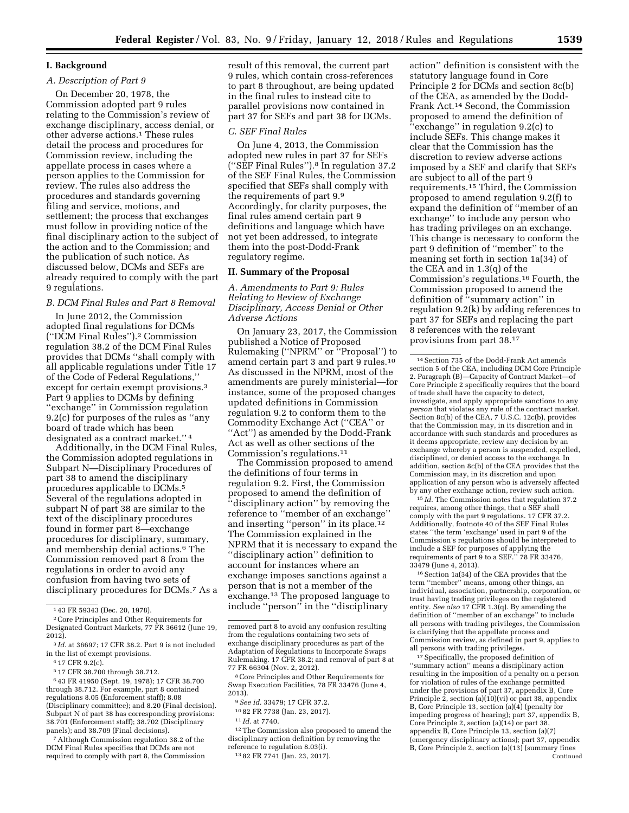## **I. Background**

## *A. Description of Part 9*

On December 20, 1978, the Commission adopted part 9 rules relating to the Commission's review of exchange disciplinary, access denial, or other adverse actions.1 These rules detail the process and procedures for Commission review, including the appellate process in cases where a person applies to the Commission for review. The rules also address the procedures and standards governing filing and service, motions, and settlement; the process that exchanges must follow in providing notice of the final disciplinary action to the subject of the action and to the Commission; and the publication of such notice. As discussed below, DCMs and SEFs are already required to comply with the part 9 regulations.

# *B. DCM Final Rules and Part 8 Removal*

In June 2012, the Commission adopted final regulations for DCMs (''DCM Final Rules'').2 Commission regulation 38.2 of the DCM Final Rules provides that DCMs ''shall comply with all applicable regulations under Title 17 of the Code of Federal Regulations,'' except for certain exempt provisions.3 Part 9 applies to DCMs by defining ''exchange'' in Commission regulation 9.2(c) for purposes of the rules as ''any board of trade which has been designated as a contract market.'' 4

Additionally, in the DCM Final Rules, the Commission adopted regulations in Subpart N—Disciplinary Procedures of part 38 to amend the disciplinary procedures applicable to DCMs.<sup>5</sup> Several of the regulations adopted in subpart N of part 38 are similar to the text of the disciplinary procedures found in former part 8—exchange procedures for disciplinary, summary, and membership denial actions.6 The Commission removed part 8 from the regulations in order to avoid any confusion from having two sets of disciplinary procedures for DCMs.7 As a

1 43 FR 59343 (Dec. 20, 1978).

6 43 FR 41950 (Sept. 19, 1978); 17 CFR 38.700 through 38.712. For example, part 8 contained regulations 8.05 (Enforcement staff); 8.08 (Disciplinary committee); and 8.20 (Final decision). Subpart N of part 38 has corresponding provisions: 38.701 (Enforcement staff); 38.702 (Disciplinary panels); and 38.709 (Final decisions).

7Although Commission regulation 38.2 of the DCM Final Rules specifies that DCMs are not required to comply with part 8, the Commission result of this removal, the current part 9 rules, which contain cross-references to part 8 throughout, are being updated in the final rules to instead cite to parallel provisions now contained in part 37 for SEFs and part 38 for DCMs.

### *C. SEF Final Rules*

On June 4, 2013, the Commission adopted new rules in part 37 for SEFs (''SEF Final Rules'').8 In regulation 37.2 of the SEF Final Rules, the Commission specified that SEFs shall comply with the requirements of part 9.9 Accordingly, for clarity purposes, the final rules amend certain part 9 definitions and language which have not yet been addressed, to integrate them into the post-Dodd-Frank regulatory regime.

#### **II. Summary of the Proposal**

*A. Amendments to Part 9: Rules Relating to Review of Exchange Disciplinary, Access Denial or Other Adverse Actions* 

On January 23, 2017, the Commission published a Notice of Proposed Rulemaking (''NPRM'' or ''Proposal'') to amend certain part 3 and part 9 rules.10 As discussed in the NPRM, most of the amendments are purely ministerial—for instance, some of the proposed changes updated definitions in Commission regulation 9.2 to conform them to the Commodity Exchange Act (''CEA'' or ''Act'') as amended by the Dodd-Frank Act as well as other sections of the Commission's regulations.11

The Commission proposed to amend the definitions of four terms in regulation 9.2. First, the Commission proposed to amend the definition of ''disciplinary action'' by removing the reference to ''member of an exchange'' and inserting ''person'' in its place.12 The Commission explained in the NPRM that it is necessary to expand the ''disciplinary action'' definition to account for instances where an exchange imposes sanctions against a person that is not a member of the exchange.13 The proposed language to include ''person'' in the ''disciplinary

8Core Principles and Other Requirements for Swap Execution Facilities, 78 FR 33476 (June 4,  $2013$ ).

12The Commission also proposed to amend the disciplinary action definition by removing the reference to regulation 8.03(i).

13 82 FR 7741 (Jan. 23, 2017).

action'' definition is consistent with the statutory language found in Core Principle 2 for DCMs and section 8c(b) of the CEA, as amended by the Dodd-Frank Act.14 Second, the Commission proposed to amend the definition of ''exchange'' in regulation 9.2(c) to include SEFs. This change makes it clear that the Commission has the discretion to review adverse actions imposed by a SEF and clarify that SEFs are subject to all of the part 9 requirements.15 Third, the Commission proposed to amend regulation 9.2(f) to expand the definition of ''member of an exchange'' to include any person who has trading privileges on an exchange. This change is necessary to conform the part 9 definition of ''member'' to the meaning set forth in section 1a(34) of the CEA and in 1.3(q) of the Commission's regulations.16 Fourth, the Commission proposed to amend the definition of ''summary action'' in regulation 9.2(k) by adding references to part 37 for SEFs and replacing the part 8 references with the relevant provisions from part 38.17

15 *Id.* The Commission notes that regulation 37.2 requires, among other things, that a SEF shall comply with the part 9 regulations. 17 CFR 37.2. Additionally, footnote 40 of the SEF Final Rules states ''the term 'exchange' used in part 9 of the Commission's regulations should be interpreted to include a SEF for purposes of applying the requirements of part 9 to a SEF.'' 78 FR 33476, 33479 (June 4, 2013).

16Section 1a(34) of the CEA provides that the term ''member'' means, among other things, an individual, association, partnership, corporation, or trust having trading privileges on the registered entity. *See also* 17 CFR 1.3(q). By amending the definition of ''member of an exchange'' to include all persons with trading privileges, the Commission is clarifying that the appellate process and Commission review, as defined in part 9, applies to all persons with trading privileges.

17Specifically, the proposed definition of ''summary action'' means a disciplinary action resulting in the imposition of a penalty on a person for violation of rules of the exchange permitted under the provisions of part 37, appendix B, Core Principle  $2$ , section (a)(10)(vi) or part 38, appendix B, Core Principle 13, section (a)(4) (penalty for impeding progress of hearing); part 37, appendix B, Core Principle 2, section (a)(14) or part 38, appendix B, Core Principle 13, section (a)(7) (emergency disciplinary actions); part 37, appendix B, Core Principle 2, section (a)(13) (summary fines Continued

<sup>2</sup>Core Principles and Other Requirements for Designated Contract Markets, 77 FR 36612 (June 19, 2012).

<sup>3</sup> *Id.* at 36697; 17 CFR 38.2. Part 9 is not included in the list of exempt provisions.

<sup>4</sup> 17 CFR 9.2(c).

<sup>5</sup> 17 CFR 38.700 through 38.712.

removed part 8 to avoid any confusion resulting from the regulations containing two sets of exchange disciplinary procedures as part of the Adaptation of Regulations to Incorporate Swaps Rulemaking. 17 CFR 38.2; and removal of part 8 at 77 FR 66304 (Nov. 2, 2012).

<sup>9</sup>*See id.* 33479; 17 CFR 37.2.

<sup>10</sup> 82 FR 7738 (Jan. 23, 2017).

<sup>11</sup> *Id.* at 7740.

<sup>14</sup>Section 735 of the Dodd-Frank Act amends section 5 of the CEA, including DCM Core Principle 2. Paragraph (B)—Capacity of Contract Market—of Core Principle 2 specifically requires that the board of trade shall have the capacity to detect, investigate, and apply appropriate sanctions to any *person* that violates any rule of the contract market. Section 8c(b) of the CEA, 7 U.S.C. 12c(b), provides that the Commission may, in its discretion and in accordance with such standards and procedures as it deems appropriate, review any decision by an exchange whereby a person is suspended, expelled, disciplined, or denied access to the exchange. In addition, section 8c(b) of the CEA provides that the Commission may, in its discretion and upon application of any person who is adversely affected by any other exchange action, review such action.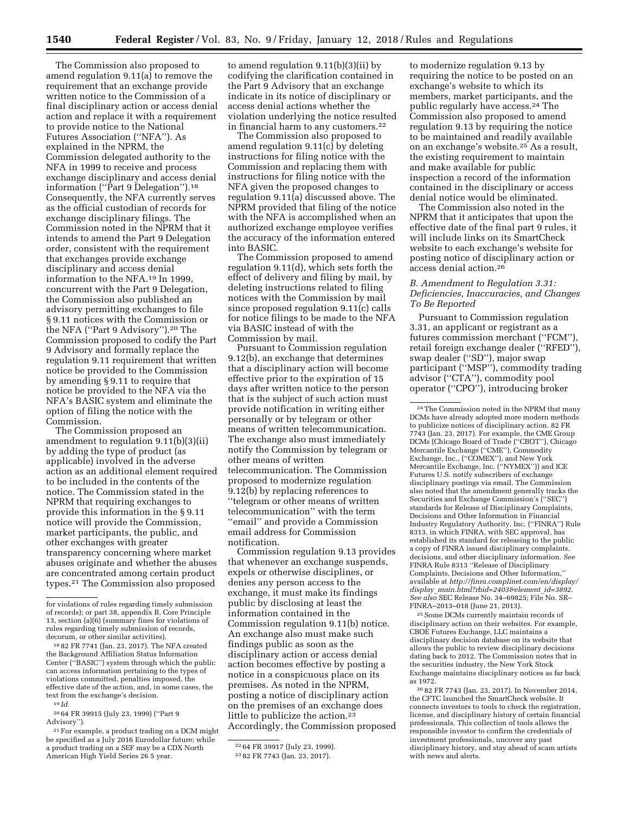The Commission also proposed to amend regulation 9.11(a) to remove the requirement that an exchange provide written notice to the Commission of a final disciplinary action or access denial action and replace it with a requirement to provide notice to the National Futures Association (''NFA''). As explained in the NPRM, the Commission delegated authority to the NFA in 1999 to receive and process exchange disciplinary and access denial information (''Part 9 Delegation'').18 Consequently, the NFA currently serves as the official custodian of records for exchange disciplinary filings. The Commission noted in the NPRM that it intends to amend the Part 9 Delegation order, consistent with the requirement that exchanges provide exchange disciplinary and access denial information to the NFA.19 In 1999, concurrent with the Part 9 Delegation, the Commission also published an advisory permitting exchanges to file § 9.11 notices with the Commission or the NFA (''Part 9 Advisory'').20 The Commission proposed to codify the Part 9 Advisory and formally replace the regulation 9.11 requirement that written notice be provided to the Commission by amending § 9.11 to require that notice be provided to the NFA via the NFA's BASIC system and eliminate the option of filing the notice with the Commission.

The Commission proposed an amendment to regulation 9.11(b)(3)(ii) by adding the type of product (as applicable) involved in the adverse action as an additional element required to be included in the contents of the notice. The Commission stated in the NPRM that requiring exchanges to provide this information in the § 9.11 notice will provide the Commission, market participants, the public, and other exchanges with greater transparency concerning where market abuses originate and whether the abuses are concentrated among certain product types.21 The Commission also proposed

to amend regulation 9.11(b)(3)(ii) by codifying the clarification contained in the Part 9 Advisory that an exchange indicate in its notice of disciplinary or access denial actions whether the violation underlying the notice resulted in financial harm to any customers.<sup>22</sup>

The Commission also proposed to amend regulation 9.11(c) by deleting instructions for filing notice with the Commission and replacing them with instructions for filing notice with the NFA given the proposed changes to regulation 9.11(a) discussed above. The NPRM provided that filing of the notice with the NFA is accomplished when an authorized exchange employee verifies the accuracy of the information entered into BASIC.

The Commission proposed to amend regulation 9.11(d), which sets forth the effect of delivery and filing by mail, by deleting instructions related to filing notices with the Commission by mail since proposed regulation 9.11(c) calls for notice filings to be made to the NFA via BASIC instead of with the Commission by mail.

Pursuant to Commission regulation 9.12(b), an exchange that determines that a disciplinary action will become effective prior to the expiration of 15 days after written notice to the person that is the subject of such action must provide notification in writing either personally or by telegram or other means of written telecommunication. The exchange also must immediately notify the Commission by telegram or other means of written telecommunication. The Commission proposed to modernize regulation 9.12(b) by replacing references to ''telegram or other means of written telecommunication'' with the term ''email'' and provide a Commission email address for Commission notification.

Commission regulation 9.13 provides that whenever an exchange suspends, expels or otherwise disciplines, or denies any person access to the exchange, it must make its findings public by disclosing at least the information contained in the Commission regulation 9.11(b) notice. An exchange also must make such findings public as soon as the disciplinary action or access denial action becomes effective by posting a notice in a conspicuous place on its premises. As noted in the NPRM, posting a notice of disciplinary action on the premises of an exchange does little to publicize the action.<sup>23</sup> Accordingly, the Commission proposed

to modernize regulation 9.13 by requiring the notice to be posted on an exchange's website to which its members, market participants, and the public regularly have access.24 The Commission also proposed to amend regulation 9.13 by requiring the notice to be maintained and readily available on an exchange's website.25 As a result, the existing requirement to maintain and make available for public inspection a record of the information contained in the disciplinary or access denial notice would be eliminated.

The Commission also noted in the NPRM that it anticipates that upon the effective date of the final part 9 rules, it will include links on its SmartCheck website to each exchange's website for posting notice of disciplinary action or access denial action.26

## *B. Amendment to Regulation 3.31: Deficiencies, Inaccuracies, and Changes To Be Reported*

Pursuant to Commission regulation 3.31, an applicant or registrant as a futures commission merchant (''FCM''), retail foreign exchange dealer (''RFED''), swap dealer (''SD''), major swap participant (''MSP''), commodity trading advisor (''CTA''), commodity pool operator (''CPO''), introducing broker

24The Commission noted in the NPRM that many DCMs have already adopted more modern methods to publicize notices of disciplinary action. 82 FR 7743 (Jan. 23, 2017). For example, the CME Group DCMs (Chicago Board of Trade (''CBOT''), Chicago Mercantile Exchange (''CME''), Commodity Exchange, Inc., (''COMEX''), and New York Mercantile Exchange, Inc. (''NYMEX'')) and ICE Futures U.S. notify subscribers of exchange disciplinary postings via email. The Commission also noted that the amendment generally tracks the Securities and Exchange Commission's (''SEC'') standards for Release of Disciplinary Complaints, Decisions and Other Information in Financial Industry Regulatory Authority, Inc. (''FINRA'') Rule 8313, in which FINRA, with SEC approval, has established its standard for releasing to the public a copy of FINRA issued disciplinary complaints, decisions, and other disciplinary information. *See*  FINRA Rule 8313 ''Release of Disciplinary Complaints, Decisions and Other Information,'' available at *[http://finra.complinet.com/en/display/](http://finra.complinet.com/en/display/display_main.html?rbid=2403&element_id=3892)  display*\_*[main.html?rbid=2403&element](http://finra.complinet.com/en/display/display_main.html?rbid=2403&element_id=3892)*\_*id=3892. See also* SEC Release No. 34–69825; File No. SR– FINRA–2013–018 (June 21, 2013).

25Some DCMs currently maintain records of disciplinary action on their websites. For example, CBOE Futures Exchange, LLC maintains a disciplinary decision database on its website that allows the public to review disciplinary decisions dating back to 2012. The Commission notes that in the securities industry, the New York Stock Exchange maintains disciplinary notices as far back as 1972.

26 82 FR 7743 (Jan. 23, 2017). In November 2014, the CFTC launched the SmartCheck website. It connects investors to tools to check the registration, license, and disciplinary history of certain financial professionals. This collection of tools allows the responsible investor to confirm the credentials of investment professionals, uncover any past disciplinary history, and stay ahead of scam artists with news and alerts.

for violations of rules regarding timely submission of records); or part 38, appendix B, Core Principle 13, section (a)(6) (summary fines for violations of rules regarding timely submission of records, decorum, or other similar activities).

<sup>18</sup> 82 FR 7741 (Jan. 23, 2017). The NFA created the Background Affiliation Status Information Center (''BASIC'') system through which the public can access information pertaining to the types of violations committed, penalties imposed, the effective date of the action, and, in some cases, the text from the exchange's decision.

<sup>19</sup> *Id.* 

<sup>20</sup> 64 FR 39915 (July 23, 1999) (''Part 9 Advisory'').

<sup>21</sup>For example, a product trading on a DCM might be specified as a July 2016 Eurodollar future; while a product trading on a SEF may be a CDX North American High Yield Series 26 5 year.

<sup>22</sup> 64 FR 39917 (July 23, 1999).

<sup>23</sup> 82 FR 7743 (Jan. 23, 2017).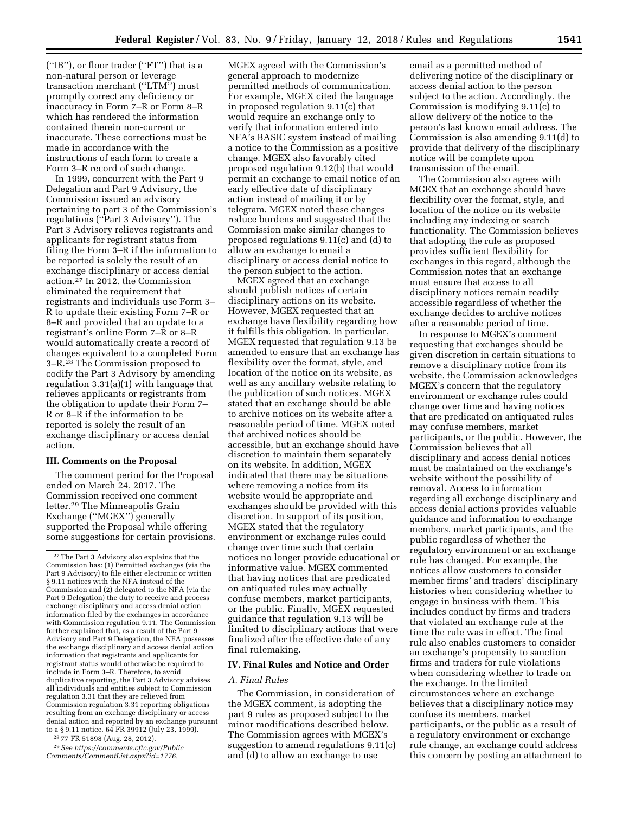(''IB''), or floor trader (''FT'') that is a non-natural person or leverage transaction merchant (''LTM'') must promptly correct any deficiency or inaccuracy in Form 7–R or Form 8–R which has rendered the information contained therein non-current or inaccurate. These corrections must be made in accordance with the instructions of each form to create a Form 3–R record of such change.

In 1999, concurrent with the Part 9 Delegation and Part 9 Advisory, the Commission issued an advisory pertaining to part 3 of the Commission's regulations (''Part 3 Advisory''). The Part 3 Advisory relieves registrants and applicants for registrant status from filing the Form 3–R if the information to be reported is solely the result of an exchange disciplinary or access denial action.27 In 2012, the Commission eliminated the requirement that registrants and individuals use Form 3– R to update their existing Form 7–R or 8–R and provided that an update to a registrant's online Form 7–R or 8–R would automatically create a record of changes equivalent to a completed Form 3–R.28 The Commission proposed to codify the Part 3 Advisory by amending regulation 3.31(a)(1) with language that relieves applicants or registrants from the obligation to update their Form 7– R or 8–R if the information to be reported is solely the result of an exchange disciplinary or access denial action.

## **III. Comments on the Proposal**

The comment period for the Proposal ended on March 24, 2017. The Commission received one comment letter.29 The Minneapolis Grain Exchange (''MGEX'') generally supported the Proposal while offering some suggestions for certain provisions.

28 77 FR 51898 (Aug. 28, 2012).

29*See [https://comments.cftc.gov/Public](https://comments.cftc.gov/PublicComments/CommentList.aspx?id=1776) [Comments/CommentList.aspx?id=1776.](https://comments.cftc.gov/PublicComments/CommentList.aspx?id=1776)* 

MGEX agreed with the Commission's general approach to modernize permitted methods of communication. For example, MGEX cited the language in proposed regulation 9.11(c) that would require an exchange only to verify that information entered into NFA's BASIC system instead of mailing a notice to the Commission as a positive change. MGEX also favorably cited proposed regulation 9.12(b) that would permit an exchange to email notice of an early effective date of disciplinary action instead of mailing it or by telegram. MGEX noted these changes reduce burdens and suggested that the Commission make similar changes to proposed regulations 9.11(c) and (d) to allow an exchange to email a disciplinary or access denial notice to the person subject to the action.

MGEX agreed that an exchange should publish notices of certain disciplinary actions on its website. However, MGEX requested that an exchange have flexibility regarding how it fulfills this obligation. In particular, MGEX requested that regulation 9.13 be amended to ensure that an exchange has flexibility over the format, style, and location of the notice on its website, as well as any ancillary website relating to the publication of such notices. MGEX stated that an exchange should be able to archive notices on its website after a reasonable period of time. MGEX noted that archived notices should be accessible, but an exchange should have discretion to maintain them separately on its website. In addition, MGEX indicated that there may be situations where removing a notice from its website would be appropriate and exchanges should be provided with this discretion. In support of its position, MGEX stated that the regulatory environment or exchange rules could change over time such that certain notices no longer provide educational or informative value. MGEX commented that having notices that are predicated on antiquated rules may actually confuse members, market participants, or the public. Finally, MGEX requested guidance that regulation 9.13 will be limited to disciplinary actions that were finalized after the effective date of any final rulemaking.

# **IV. Final Rules and Notice and Order**

## *A. Final Rules*

The Commission, in consideration of the MGEX comment, is adopting the part 9 rules as proposed subject to the minor modifications described below. The Commission agrees with MGEX's suggestion to amend regulations 9.11(c) and (d) to allow an exchange to use

email as a permitted method of delivering notice of the disciplinary or access denial action to the person subject to the action. Accordingly, the Commission is modifying 9.11(c) to allow delivery of the notice to the person's last known email address. The Commission is also amending 9.11(d) to provide that delivery of the disciplinary notice will be complete upon transmission of the email.

The Commission also agrees with MGEX that an exchange should have flexibility over the format, style, and location of the notice on its website including any indexing or search functionality. The Commission believes that adopting the rule as proposed provides sufficient flexibility for exchanges in this regard, although the Commission notes that an exchange must ensure that access to all disciplinary notices remain readily accessible regardless of whether the exchange decides to archive notices after a reasonable period of time.

In response to MGEX's comment requesting that exchanges should be given discretion in certain situations to remove a disciplinary notice from its website, the Commission acknowledges MGEX's concern that the regulatory environment or exchange rules could change over time and having notices that are predicated on antiquated rules may confuse members, market participants, or the public. However, the Commission believes that all disciplinary and access denial notices must be maintained on the exchange's website without the possibility of removal. Access to information regarding all exchange disciplinary and access denial actions provides valuable guidance and information to exchange members, market participants, and the public regardless of whether the regulatory environment or an exchange rule has changed. For example, the notices allow customers to consider member firms' and traders' disciplinary histories when considering whether to engage in business with them. This includes conduct by firms and traders that violated an exchange rule at the time the rule was in effect. The final rule also enables customers to consider an exchange's propensity to sanction firms and traders for rule violations when considering whether to trade on the exchange. In the limited circumstances where an exchange believes that a disciplinary notice may confuse its members, market participants, or the public as a result of a regulatory environment or exchange rule change, an exchange could address this concern by posting an attachment to

<sup>27</sup>The Part 3 Advisory also explains that the Commission has: (1) Permitted exchanges (via the Part 9 Advisory) to file either electronic or written § 9.11 notices with the NFA instead of the Commission and (2) delegated to the NFA (via the Part 9 Delegation) the duty to receive and process exchange disciplinary and access denial action information filed by the exchanges in accordance with Commission regulation 9.11. The Commission further explained that, as a result of the Part 9 Advisory and Part 9 Delegation, the NFA possesses the exchange disciplinary and access denial action information that registrants and applicants for registrant status would otherwise be required to include in Form 3–R. Therefore, to avoid duplicative reporting, the Part 3 Advisory advises all individuals and entities subject to Commission regulation 3.31 that they are relieved from Commission regulation 3.31 reporting obligations resulting from an exchange disciplinary or access denial action and reported by an exchange pursuant to a § 9.11 notice. 64 FR 39912 (July 23, 1999).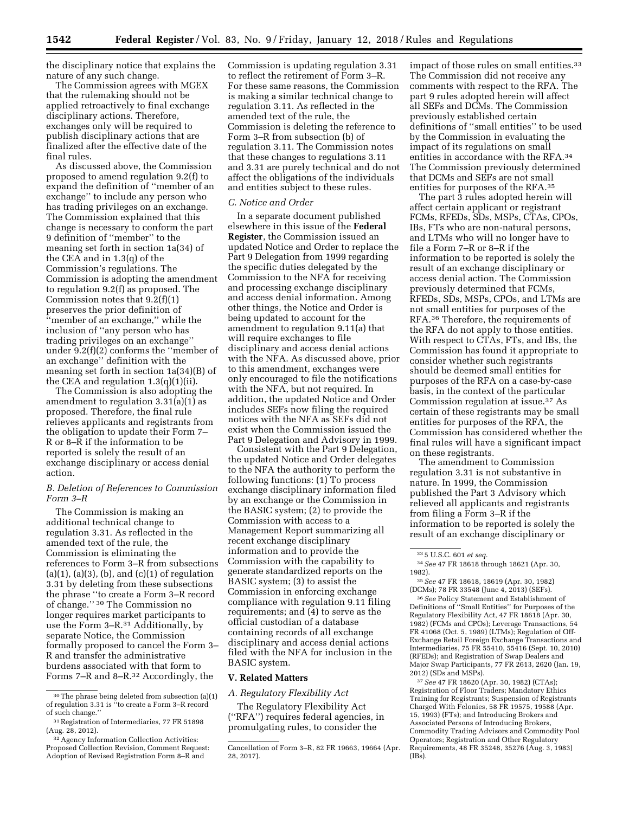the disciplinary notice that explains the nature of any such change.

The Commission agrees with MGEX that the rulemaking should not be applied retroactively to final exchange disciplinary actions. Therefore, exchanges only will be required to publish disciplinary actions that are finalized after the effective date of the final rules.

As discussed above, the Commission proposed to amend regulation 9.2(f) to expand the definition of ''member of an exchange'' to include any person who has trading privileges on an exchange. The Commission explained that this change is necessary to conform the part 9 definition of ''member'' to the meaning set forth in section 1a(34) of the CEA and in 1.3(q) of the Commission's regulations. The Commission is adopting the amendment to regulation 9.2(f) as proposed. The Commission notes that 9.2(f)(1) preserves the prior definition of ''member of an exchange,'' while the inclusion of ''any person who has trading privileges on an exchange'' under 9.2(f)(2) conforms the ''member of an exchange'' definition with the meaning set forth in section 1a(34)(B) of the CEA and regulation 1.3(q)(1)(ii).

The Commission is also adopting the amendment to regulation 3.31(a)(1) as proposed. Therefore, the final rule relieves applicants and registrants from the obligation to update their Form 7– R or 8–R if the information to be reported is solely the result of an exchange disciplinary or access denial action.

## *B. Deletion of References to Commission Form 3–R*

The Commission is making an additional technical change to regulation 3.31. As reflected in the amended text of the rule, the Commission is eliminating the references to Form 3–R from subsections  $(a)(1)$ ,  $(a)(3)$ ,  $(b)$ , and  $(c)(1)$  of regulation 3.31 by deleting from these subsections the phrase ''to create a Form 3–R record of change.'' 30 The Commission no longer requires market participants to use the Form 3–R.31 Additionally, by separate Notice, the Commission formally proposed to cancel the Form 3– R and transfer the administrative burdens associated with that form to Forms 7–R and 8–R.32 Accordingly, the

Commission is updating regulation 3.31 to reflect the retirement of Form 3–R. For these same reasons, the Commission is making a similar technical change to regulation 3.11. As reflected in the amended text of the rule, the Commission is deleting the reference to Form 3–R from subsection (b) of regulation 3.11. The Commission notes that these changes to regulations 3.11 and 3.31 are purely technical and do not affect the obligations of the individuals and entities subject to these rules.

#### *C. Notice and Order*

In a separate document published elsewhere in this issue of the **Federal Register**, the Commission issued an updated Notice and Order to replace the Part 9 Delegation from 1999 regarding the specific duties delegated by the Commission to the NFA for receiving and processing exchange disciplinary and access denial information. Among other things, the Notice and Order is being updated to account for the amendment to regulation 9.11(a) that will require exchanges to file disciplinary and access denial actions with the NFA. As discussed above, prior to this amendment, exchanges were only encouraged to file the notifications with the NFA, but not required. In addition, the updated Notice and Order includes SEFs now filing the required notices with the NFA as SEFs did not exist when the Commission issued the Part 9 Delegation and Advisory in 1999.

Consistent with the Part 9 Delegation, the updated Notice and Order delegates to the NFA the authority to perform the following functions: (1) To process exchange disciplinary information filed by an exchange or the Commission in the BASIC system; (2) to provide the Commission with access to a Management Report summarizing all recent exchange disciplinary information and to provide the Commission with the capability to generate standardized reports on the BASIC system; (3) to assist the Commission in enforcing exchange compliance with regulation 9.11 filing requirements; and (4) to serve as the official custodian of a database containing records of all exchange disciplinary and access denial actions filed with the NFA for inclusion in the BASIC system.

### **V. Related Matters**

*A. Regulatory Flexibility Act* 

The Regulatory Flexibility Act (''RFA'') requires federal agencies, in promulgating rules, to consider the

impact of those rules on small entities.<sup>33</sup> The Commission did not receive any comments with respect to the RFA. The part 9 rules adopted herein will affect all SEFs and DCMs. The Commission previously established certain definitions of ''small entities'' to be used by the Commission in evaluating the impact of its regulations on small entities in accordance with the RFA.34 The Commission previously determined that DCMs and SEFs are not small entities for purposes of the RFA.35

The part 3 rules adopted herein will affect certain applicant or registrant FCMs, RFEDs, SDs, MSPs, CTAs, CPOs, IBs, FTs who are non-natural persons, and LTMs who will no longer have to file a Form 7–R or 8–R if the information to be reported is solely the result of an exchange disciplinary or access denial action. The Commission previously determined that FCMs, RFEDs, SDs, MSPs, CPOs, and LTMs are not small entities for purposes of the RFA.36 Therefore, the requirements of the RFA do not apply to those entities. With respect to CTAs, FTs, and IBs, the Commission has found it appropriate to consider whether such registrants should be deemed small entities for purposes of the RFA on a case-by-case basis, in the context of the particular Commission regulation at issue.37 As certain of these registrants may be small entities for purposes of the RFA, the Commission has considered whether the final rules will have a significant impact on these registrants.

The amendment to Commission regulation 3.31 is not substantive in nature. In 1999, the Commission published the Part 3 Advisory which relieved all applicants and registrants from filing a Form 3–R if the information to be reported is solely the result of an exchange disciplinary or

36*See* Policy Statement and Establishment of Definitions of ''Small Entities'' for Purposes of the Regulatory Flexibility Act, 47 FR 18618 (Apr. 30, 1982) (FCMs and CPOs); Leverage Transactions, 54 FR 41068 (Oct. 5, 1989) (LTMs); Regulation of Off-Exchange Retail Foreign Exchange Transactions and Intermediaries, 75 FR 55410, 55416 (Sept. 10, 2010) (RFEDs); and Registration of Swap Dealers and Major Swap Participants, 77 FR 2613, 2620 (Jan. 19, 2012) (SDs and MSPs).

37*See* 47 FR 18620 (Apr. 30, 1982) (CTAs); Registration of Floor Traders; Mandatory Ethics Training for Registrants; Suspension of Registrants Charged With Felonies, 58 FR 19575, 19588 (Apr. 15, 1993) (FTs); and Introducing Brokers and Associated Persons of Introducing Brokers, Commodity Trading Advisors and Commodity Pool Operators; Registration and Other Regulatory Requirements, 48 FR 35248, 35276 (Aug. 3, 1983)  $(IB\hat{s})$ .

<sup>30</sup>The phrase being deleted from subsection (a)(1) of regulation 3.31 is ''to create a Form 3–R record of such change.''

<sup>31</sup>Registration of Intermediaries, 77 FR 51898 (Aug. 28, 2012).

<sup>&</sup>lt;sup>32</sup> Agency Information Collection Activities: Proposed Collection Revision, Comment Request: Adoption of Revised Registration Form 8–R and

Cancellation of Form 3–R, 82 FR 19663, 19664 (Apr. 28, 2017).

<sup>33</sup> 5 U.S.C. 601 *et seq.* 

<sup>34</sup>*See* 47 FR 18618 through 18621 (Apr. 30, 1982).

<sup>35</sup>*See* 47 FR 18618, 18619 (Apr. 30, 1982) (DCMs); 78 FR 33548 (June 4, 2013) (SEFs).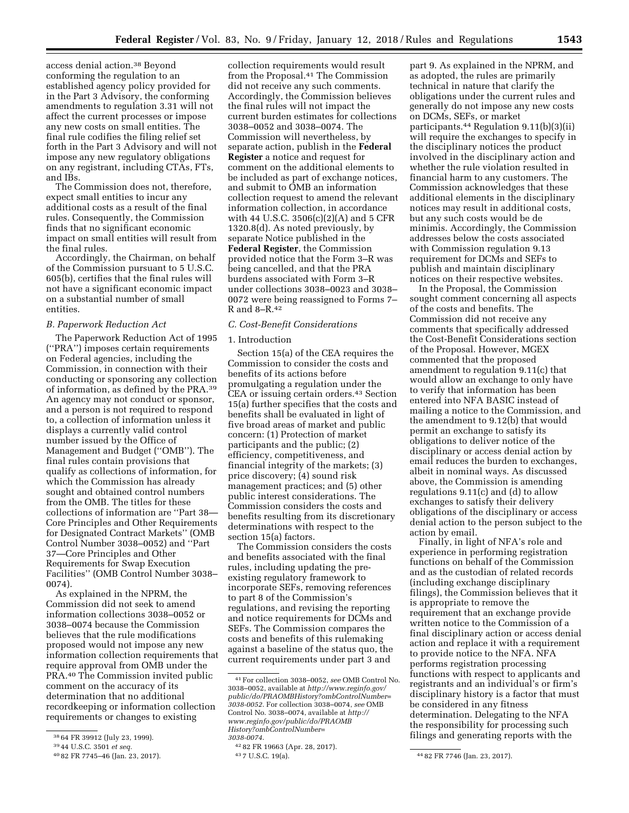access denial action.38 Beyond conforming the regulation to an established agency policy provided for in the Part 3 Advisory, the conforming amendments to regulation 3.31 will not affect the current processes or impose any new costs on small entities. The final rule codifies the filing relief set forth in the Part 3 Advisory and will not impose any new regulatory obligations on any registrant, including CTAs, FTs, and IBs.

The Commission does not, therefore, expect small entities to incur any additional costs as a result of the final rules. Consequently, the Commission finds that no significant economic impact on small entities will result from the final rules.

Accordingly, the Chairman, on behalf of the Commission pursuant to 5 U.S.C. 605(b), certifies that the final rules will not have a significant economic impact on a substantial number of small entities.

### *B. Paperwork Reduction Act*

The Paperwork Reduction Act of 1995 (''PRA'') imposes certain requirements on Federal agencies, including the Commission, in connection with their conducting or sponsoring any collection of information, as defined by the PRA.39 An agency may not conduct or sponsor, and a person is not required to respond to, a collection of information unless it displays a currently valid control number issued by the Office of Management and Budget (''OMB''). The final rules contain provisions that qualify as collections of information, for which the Commission has already sought and obtained control numbers from the OMB. The titles for these collections of information are ''Part 38— Core Principles and Other Requirements for Designated Contract Markets'' (OMB Control Number 3038–0052) and ''Part 37—Core Principles and Other Requirements for Swap Execution Facilities'' (OMB Control Number 3038– 0074).

As explained in the NPRM, the Commission did not seek to amend information collections 3038–0052 or 3038–0074 because the Commission believes that the rule modifications proposed would not impose any new information collection requirements that require approval from OMB under the PRA.40 The Commission invited public comment on the accuracy of its determination that no additional recordkeeping or information collection requirements or changes to existing

collection requirements would result from the Proposal.41 The Commission did not receive any such comments. Accordingly, the Commission believes the final rules will not impact the current burden estimates for collections 3038–0052 and 3038–0074. The Commission will nevertheless, by separate action, publish in the **Federal Register** a notice and request for comment on the additional elements to be included as part of exchange notices, and submit to OMB an information collection request to amend the relevant information collection, in accordance with 44 U.S.C. 3506(c)(2)(A) and 5 CFR 1320.8(d). As noted previously, by separate Notice published in the **Federal Register**, the Commission provided notice that the Form 3–R was being cancelled, and that the PRA burdens associated with Form 3–R under collections 3038–0023 and 3038– 0072 were being reassigned to Forms 7– R and 8–R.42

## *C. Cost-Benefit Considerations*

#### 1. Introduction

Section 15(a) of the CEA requires the Commission to consider the costs and benefits of its actions before promulgating a regulation under the CEA or issuing certain orders.43 Section 15(a) further specifies that the costs and benefits shall be evaluated in light of five broad areas of market and public concern: (1) Protection of market participants and the public; (2) efficiency, competitiveness, and financial integrity of the markets; (3) price discovery; (4) sound risk management practices; and (5) other public interest considerations. The Commission considers the costs and benefits resulting from its discretionary determinations with respect to the section 15(a) factors.

The Commission considers the costs and benefits associated with the final rules, including updating the preexisting regulatory framework to incorporate SEFs, removing references to part 8 of the Commission's regulations, and revising the reporting and notice requirements for DCMs and SEFs. The Commission compares the costs and benefits of this rulemaking against a baseline of the status quo, the current requirements under part 3 and

part 9. As explained in the NPRM, and as adopted, the rules are primarily technical in nature that clarify the obligations under the current rules and generally do not impose any new costs on DCMs, SEFs, or market participants.44 Regulation 9.11(b)(3)(ii) will require the exchanges to specify in the disciplinary notices the product involved in the disciplinary action and whether the rule violation resulted in financial harm to any customers. The Commission acknowledges that these additional elements in the disciplinary notices may result in additional costs, but any such costs would be de minimis. Accordingly, the Commission addresses below the costs associated with Commission regulation 9.13 requirement for DCMs and SEFs to publish and maintain disciplinary notices on their respective websites.

In the Proposal, the Commission sought comment concerning all aspects of the costs and benefits. The Commission did not receive any comments that specifically addressed the Cost-Benefit Considerations section of the Proposal. However, MGEX commented that the proposed amendment to regulation 9.11(c) that would allow an exchange to only have to verify that information has been entered into NFA BASIC instead of mailing a notice to the Commission, and the amendment to 9.12(b) that would permit an exchange to satisfy its obligations to deliver notice of the disciplinary or access denial action by email reduces the burden to exchanges, albeit in nominal ways. As discussed above, the Commission is amending regulations 9.11(c) and (d) to allow exchanges to satisfy their delivery obligations of the disciplinary or access denial action to the person subject to the action by email.

Finally, in light of NFA's role and experience in performing registration functions on behalf of the Commission and as the custodian of related records (including exchange disciplinary filings), the Commission believes that it is appropriate to remove the requirement that an exchange provide written notice to the Commission of a final disciplinary action or access denial action and replace it with a requirement to provide notice to the NFA. NFA performs registration processing functions with respect to applicants and registrants and an individual's or firm's disciplinary history is a factor that must be considered in any fitness determination. Delegating to the NFA the responsibility for processing such filings and generating reports with the

<sup>38</sup> 64 FR 39912 (July 23, 1999).

<sup>39</sup> 44 U.S.C. 3501 *et seq.* 

<sup>40</sup> 82 FR 7745–46 (Jan. 23, 2017).

<sup>41</sup>For collection 3038–0052, *see* OMB Control No. 3038–0052, available at *[http://www.reginfo.gov/](http://www.reginfo.gov/public/do/PRAOMBHistory?ombControlNumber=3038-0052)  [public/do/PRAOMBHistory?ombControlNumber=](http://www.reginfo.gov/public/do/PRAOMBHistory?ombControlNumber=3038-0052) [3038-0052](http://www.reginfo.gov/public/do/PRAOMBHistory?ombControlNumber=3038-0052)*. For collection 3038–0074, *see* OMB Control No. 3038–0074, available at *[http://](http://www.reginfo.gov/public/do/PRAOMBHistory?ombControlNumber=3038-0074) [www.reginfo.gov/public/do/PRAOMB](http://www.reginfo.gov/public/do/PRAOMBHistory?ombControlNumber=3038-0074) [History?ombControlNumber=](http://www.reginfo.gov/public/do/PRAOMBHistory?ombControlNumber=3038-0074)  [3038-0074](http://www.reginfo.gov/public/do/PRAOMBHistory?ombControlNumber=3038-0074)*.

<sup>42</sup> 82 FR 19663 (Apr. 28, 2017).

<sup>44 82</sup> FR 7746 (Jan. 23, 2017).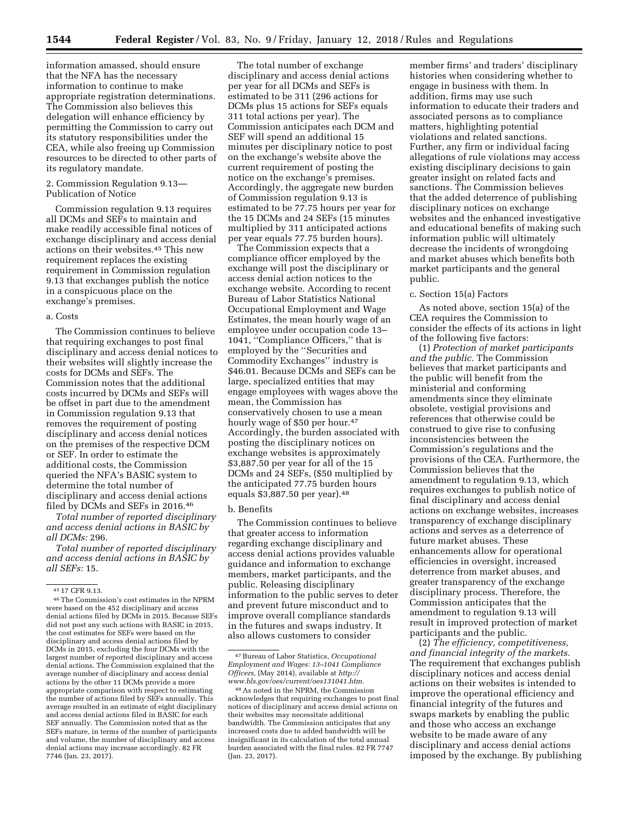information amassed, should ensure that the NFA has the necessary information to continue to make appropriate registration determinations. The Commission also believes this delegation will enhance efficiency by permitting the Commission to carry out its statutory responsibilities under the CEA, while also freeing up Commission resources to be directed to other parts of its regulatory mandate.

2. Commission Regulation 9.13— Publication of Notice

Commission regulation 9.13 requires all DCMs and SEFs to maintain and make readily accessible final notices of exchange disciplinary and access denial actions on their websites.45 This new requirement replaces the existing requirement in Commission regulation 9.13 that exchanges publish the notice in a conspicuous place on the exchange's premises.

### a. Costs

The Commission continues to believe that requiring exchanges to post final disciplinary and access denial notices to their websites will slightly increase the costs for DCMs and SEFs. The Commission notes that the additional costs incurred by DCMs and SEFs will be offset in part due to the amendment in Commission regulation 9.13 that removes the requirement of posting disciplinary and access denial notices on the premises of the respective DCM or SEF. In order to estimate the additional costs, the Commission queried the NFA's BASIC system to determine the total number of disciplinary and access denial actions filed by DCMs and SEFs in 2016.46

*Total number of reported disciplinary and access denial actions in BASIC by all DCMs:* 296.

*Total number of reported disciplinary and access denial actions in BASIC by all SEFs:* 15.

The total number of exchange disciplinary and access denial actions per year for all DCMs and SEFs is estimated to be 311 (296 actions for DCMs plus 15 actions for SEFs equals 311 total actions per year). The Commission anticipates each DCM and SEF will spend an additional 15 minutes per disciplinary notice to post on the exchange's website above the current requirement of posting the notice on the exchange's premises. Accordingly, the aggregate new burden of Commission regulation 9.13 is estimated to be 77.75 hours per year for the 15 DCMs and 24 SEFs (15 minutes multiplied by 311 anticipated actions per year equals 77.75 burden hours).

The Commission expects that a compliance officer employed by the exchange will post the disciplinary or access denial action notices to the exchange website. According to recent Bureau of Labor Statistics National Occupational Employment and Wage Estimates, the mean hourly wage of an employee under occupation code 13– 1041, ''Compliance Officers,'' that is employed by the ''Securities and Commodity Exchanges'' industry is \$46.01. Because DCMs and SEFs can be large, specialized entities that may engage employees with wages above the mean, the Commission has conservatively chosen to use a mean hourly wage of \$50 per hour.<sup>47</sup> Accordingly, the burden associated with posting the disciplinary notices on exchange websites is approximately \$3,887.50 per year for all of the 15 DCMs and 24 SEFs, (\$50 multiplied by the anticipated 77.75 burden hours equals \$3,887.50 per year).48

### b. Benefits

The Commission continues to believe that greater access to information regarding exchange disciplinary and access denial actions provides valuable guidance and information to exchange members, market participants, and the public. Releasing disciplinary information to the public serves to deter and prevent future misconduct and to improve overall compliance standards in the futures and swaps industry. It also allows customers to consider

member firms' and traders' disciplinary histories when considering whether to engage in business with them. In addition, firms may use such information to educate their traders and associated persons as to compliance matters, highlighting potential violations and related sanctions. Further, any firm or individual facing allegations of rule violations may access existing disciplinary decisions to gain greater insight on related facts and sanctions. The Commission believes that the added deterrence of publishing disciplinary notices on exchange websites and the enhanced investigative and educational benefits of making such information public will ultimately decrease the incidents of wrongdoing and market abuses which benefits both market participants and the general public.

### c. Section 15(a) Factors

As noted above, section 15(a) of the CEA requires the Commission to consider the effects of its actions in light of the following five factors:

(1) *Protection of market participants and the public.* The Commission believes that market participants and the public will benefit from the ministerial and conforming amendments since they eliminate obsolete, vestigial provisions and references that otherwise could be construed to give rise to confusing inconsistencies between the Commission's regulations and the provisions of the CEA. Furthermore, the Commission believes that the amendment to regulation 9.13, which requires exchanges to publish notice of final disciplinary and access denial actions on exchange websites, increases transparency of exchange disciplinary actions and serves as a deterrence of future market abuses. These enhancements allow for operational efficiencies in oversight, increased deterrence from market abuses, and greater transparency of the exchange disciplinary process. Therefore, the Commission anticipates that the amendment to regulation 9.13 will result in improved protection of market participants and the public.

(2) *The efficiency, competitiveness, and financial integrity of the markets.*  The requirement that exchanges publish disciplinary notices and access denial actions on their websites is intended to improve the operational efficiency and financial integrity of the futures and swaps markets by enabling the public and those who access an exchange website to be made aware of any disciplinary and access denial actions imposed by the exchange. By publishing

<sup>45</sup> 17 CFR 9.13.

 $^{\rm 46}$  The Commission's cost estimates in the NPRM were based on the 452 disciplinary and access denial actions filed by DCMs in 2015. Because SEFs did not post any such actions with BASIC in 2015, the cost estimates for SEFs were based on the disciplinary and access denial actions filed by DCMs in 2015, excluding the four DCMs with the largest number of reported disciplinary and access denial actions. The Commission explained that the average number of disciplinary and access denial actions by the other 11 DCMs provide a more appropriate comparison with respect to estimating the number of actions filed by SEFs annually. This average resulted in an estimate of eight disciplinary and access denial actions filed in BASIC for each SEF annually. The Commission noted that as the SEFs mature, in terms of the number of participants and volume, the number of disciplinary and access denial actions may increase accordingly. 82 FR 7746 (Jan. 23, 2017).

<sup>47</sup>Bureau of Labor Statistics, *Occupational Employment and Wages: 13–1041 Compliance Officers,* (May 2014), available at *[http://](http://www.bls.gov/oes/current/oes131041.htm) [www.bls.gov/oes/current/oes131041.htm.](http://www.bls.gov/oes/current/oes131041.htm)* 

<sup>48</sup>As noted in the NPRM, the Commission acknowledges that requiring exchanges to post final notices of disciplinary and access denial actions on their websites may necessitate additional bandwidth. The Commission anticipates that any increased costs due to added bandwidth will be insignificant in its calculation of the total annual burden associated with the final rules. 82 FR 7747 (Jan. 23, 2017).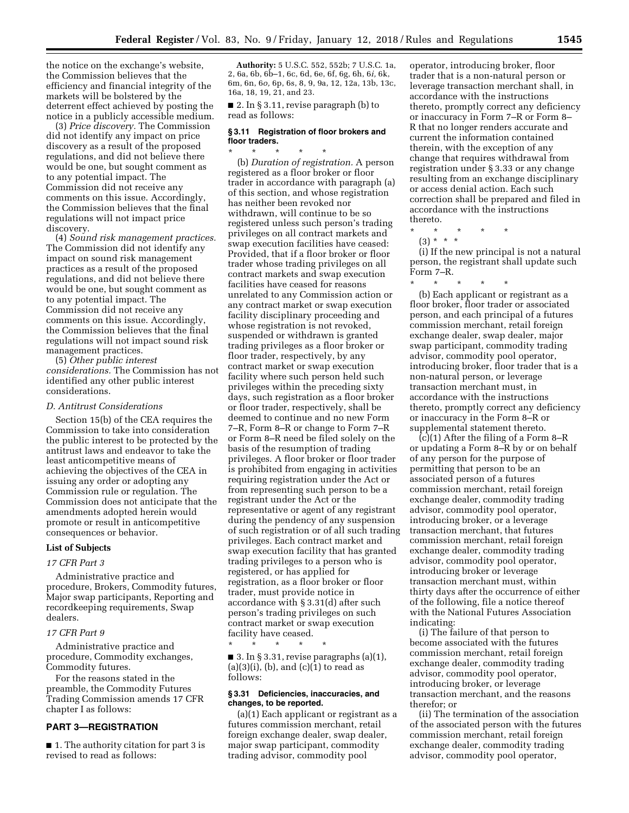the notice on the exchange's website, the Commission believes that the efficiency and financial integrity of the markets will be bolstered by the deterrent effect achieved by posting the notice in a publicly accessible medium.

(3) *Price discovery.* The Commission did not identify any impact on price discovery as a result of the proposed regulations, and did not believe there would be one, but sought comment as to any potential impact. The Commission did not receive any comments on this issue. Accordingly, the Commission believes that the final regulations will not impact price discovery.

(4) *Sound risk management practices.*  The Commission did not identify any impact on sound risk management practices as a result of the proposed regulations, and did not believe there would be one, but sought comment as to any potential impact. The Commission did not receive any comments on this issue. Accordingly, the Commission believes that the final regulations will not impact sound risk management practices.

(5) *Other public interest considerations.* The Commission has not identified any other public interest considerations.

### *D. Antitrust Considerations*

Section 15(b) of the CEA requires the Commission to take into consideration the public interest to be protected by the antitrust laws and endeavor to take the least anticompetitive means of achieving the objectives of the CEA in issuing any order or adopting any Commission rule or regulation. The Commission does not anticipate that the amendments adopted herein would promote or result in anticompetitive consequences or behavior.

## **List of Subjects**

### *17 CFR Part 3*

Administrative practice and procedure, Brokers, Commodity futures, Major swap participants, Reporting and recordkeeping requirements, Swap dealers.

# *17 CFR Part 9*

Administrative practice and procedure, Commodity exchanges, Commodity futures.

For the reasons stated in the preamble, the Commodity Futures Trading Commission amends 17 CFR chapter I as follows:

# **PART 3—REGISTRATION**

■ 1. The authority citation for part 3 is revised to read as follows:

**Authority:** 5 U.S.C. 552, 552b; 7 U.S.C. 1a, 2, 6a, 6b, 6b–1, 6c, 6d, 6e, 6f, 6g, 6h, 6*i,* 6k, 6m, 6n, 6*o,* 6p, 6s, 8, 9, 9a, 12, 12a, 13b, 13c, 16a, 18, 19, 21, and 23.

■ 2. In § 3.11, revise paragraph (b) to read as follows:

## **§ 3.11 Registration of floor brokers and floor traders.**

\* \* \* \* \* (b) *Duration of registration.* A person registered as a floor broker or floor trader in accordance with paragraph (a) of this section, and whose registration has neither been revoked nor withdrawn, will continue to be so registered unless such person's trading privileges on all contract markets and swap execution facilities have ceased: Provided, that if a floor broker or floor trader whose trading privileges on all contract markets and swap execution facilities have ceased for reasons unrelated to any Commission action or any contract market or swap execution facility disciplinary proceeding and whose registration is not revoked, suspended or withdrawn is granted trading privileges as a floor broker or floor trader, respectively, by any contract market or swap execution facility where such person held such privileges within the preceding sixty days, such registration as a floor broker or floor trader, respectively, shall be deemed to continue and no new Form 7–R, Form 8–R or change to Form 7–R or Form 8–R need be filed solely on the basis of the resumption of trading privileges. A floor broker or floor trader is prohibited from engaging in activities requiring registration under the Act or from representing such person to be a registrant under the Act or the representative or agent of any registrant during the pendency of any suspension of such registration or of all such trading privileges. Each contract market and swap execution facility that has granted trading privileges to a person who is registered, or has applied for registration, as a floor broker or floor trader, must provide notice in accordance with § 3.31(d) after such person's trading privileges on such contract market or swap execution facility have ceased.

■ 3. In § 3.31, revise paragraphs  $(a)(1)$ ,  $(a)(3)(i)$ ,  $(b)$ , and  $(c)(1)$  to read as follows:

\* \* \* \* \*

# **§ 3.31 Deficiencies, inaccuracies, and changes, to be reported.**

(a)(1) Each applicant or registrant as a futures commission merchant, retail foreign exchange dealer, swap dealer, major swap participant, commodity trading advisor, commodity pool

operator, introducing broker, floor trader that is a non-natural person or leverage transaction merchant shall, in accordance with the instructions thereto, promptly correct any deficiency or inaccuracy in Form 7–R or Form 8– R that no longer renders accurate and current the information contained therein, with the exception of any change that requires withdrawal from registration under § 3.33 or any change resulting from an exchange disciplinary or access denial action. Each such correction shall be prepared and filed in accordance with the instructions thereto.

- \* \* \* \* \*
	- (3) \* \* \*

(i) If the new principal is not a natural person, the registrant shall update such Form 7–R.

\* \* \* \* \*

(b) Each applicant or registrant as a floor broker, floor trader or associated person, and each principal of a futures commission merchant, retail foreign exchange dealer, swap dealer, major swap participant, commodity trading advisor, commodity pool operator, introducing broker, floor trader that is a non-natural person, or leverage transaction merchant must, in accordance with the instructions thereto, promptly correct any deficiency or inaccuracy in the Form 8–R or supplemental statement thereto.

(c)(1) After the filing of a Form 8–R or updating a Form 8–R by or on behalf of any person for the purpose of permitting that person to be an associated person of a futures commission merchant, retail foreign exchange dealer, commodity trading advisor, commodity pool operator, introducing broker, or a leverage transaction merchant, that futures commission merchant, retail foreign exchange dealer, commodity trading advisor, commodity pool operator, introducing broker or leverage transaction merchant must, within thirty days after the occurrence of either of the following, file a notice thereof with the National Futures Association indicating:

(i) The failure of that person to become associated with the futures commission merchant, retail foreign exchange dealer, commodity trading advisor, commodity pool operator, introducing broker, or leverage transaction merchant, and the reasons therefor; or

(ii) The termination of the association of the associated person with the futures commission merchant, retail foreign exchange dealer, commodity trading advisor, commodity pool operator,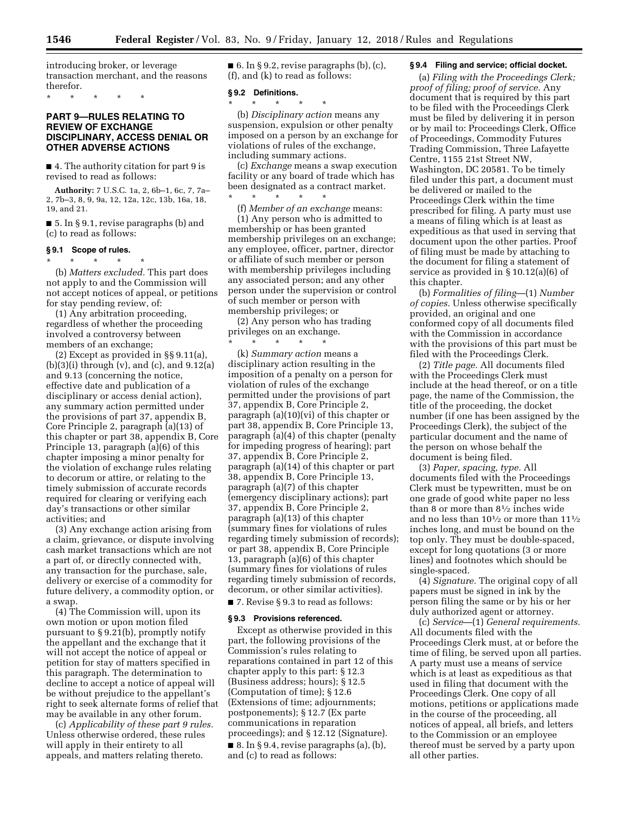introducing broker, or leverage transaction merchant, and the reasons therefor.

\* \* \* \* \*

# **PART 9—RULES RELATING TO REVIEW OF EXCHANGE DISCIPLINARY, ACCESS DENIAL OR OTHER ADVERSE ACTIONS**

■ 4. The authority citation for part 9 is revised to read as follows:

**Authority:** 7 U.S.C. 1a, 2, 6b–1, 6c, 7, 7a– 2, 7b–3, 8, 9, 9a, 12, 12a, 12c, 13b, 16a, 18, 19, and 21.

■ 5. In § 9.1, revise paragraphs (b) and (c) to read as follows:

#### **§ 9.1 Scope of rules.**

\* \* \* \* \*

(b) *Matters excluded.* This part does not apply to and the Commission will not accept notices of appeal, or petitions for stay pending review, of:

(1) Any arbitration proceeding, regardless of whether the proceeding involved a controversy between members of an exchange;

(2) Except as provided in §§ 9.11(a),  $(b)(3)(i)$  through  $(v)$ , and  $(c)$ , and  $9.12(a)$ and 9.13 (concerning the notice, effective date and publication of a disciplinary or access denial action), any summary action permitted under the provisions of part 37, appendix B, Core Principle 2, paragraph (a)(13) of this chapter or part 38, appendix B, Core Principle 13, paragraph (a)(6) of this chapter imposing a minor penalty for the violation of exchange rules relating to decorum or attire, or relating to the timely submission of accurate records required for clearing or verifying each day's transactions or other similar activities; and

(3) Any exchange action arising from a claim, grievance, or dispute involving cash market transactions which are not a part of, or directly connected with, any transaction for the purchase, sale, delivery or exercise of a commodity for future delivery, a commodity option, or a swap.

(4) The Commission will, upon its own motion or upon motion filed pursuant to § 9.21(b), promptly notify the appellant and the exchange that it will not accept the notice of appeal or petition for stay of matters specified in this paragraph. The determination to decline to accept a notice of appeal will be without prejudice to the appellant's right to seek alternate forms of relief that may be available in any other forum.

(c) *Applicability of these part 9 rules.*  Unless otherwise ordered, these rules will apply in their entirety to all appeals, and matters relating thereto.

 $\blacksquare$  6. In § 9.2, revise paragraphs (b), (c), (f), and (k) to read as follows:

## **§ 9.2 Definitions.**

\* \* \* \* \*

\* \* \* \* \* (b) *Disciplinary action* means any suspension, expulsion or other penalty imposed on a person by an exchange for violations of rules of the exchange,

including summary actions. (c) *Exchange* means a swap execution facility or any board of trade which has been designated as a contract market.

(f) *Member of an exchange* means: (1) Any person who is admitted to membership or has been granted membership privileges on an exchange; any employee, officer, partner, director or affiliate of such member or person with membership privileges including any associated person; and any other person under the supervision or control of such member or person with membership privileges; or

(2) Any person who has trading privileges on an exchange. \* \* \* \* \*

(k) *Summary action* means a disciplinary action resulting in the imposition of a penalty on a person for violation of rules of the exchange permitted under the provisions of part 37, appendix B, Core Principle 2, paragraph (a)(10)(vi) of this chapter or part 38, appendix B, Core Principle 13, paragraph (a)(4) of this chapter (penalty for impeding progress of hearing); part 37, appendix B, Core Principle 2, paragraph (a)(14) of this chapter or part 38, appendix B, Core Principle 13, paragraph (a)(7) of this chapter (emergency disciplinary actions); part 37, appendix B, Core Principle 2, paragraph (a)(13) of this chapter (summary fines for violations of rules regarding timely submission of records); or part 38, appendix B, Core Principle 13, paragraph (a)(6) of this chapter (summary fines for violations of rules regarding timely submission of records, decorum, or other similar activities).

■ 7. Revise § 9.3 to read as follows:

#### **§ 9.3 Provisions referenced.**

Except as otherwise provided in this part, the following provisions of the Commission's rules relating to reparations contained in part 12 of this chapter apply to this part: § 12.3 (Business address; hours); § 12.5 (Computation of time); § 12.6 (Extensions of time; adjournments; postponements); § 12.7 (Ex parte communications in reparation proceedings); and § 12.12 (Signature).  $\blacksquare$  8. In § 9.4, revise paragraphs (a), (b), and (c) to read as follows:

## **§ 9.4 Filing and service; official docket.**

(a) *Filing with the Proceedings Clerk; proof of filing; proof of service.* Any document that is required by this part to be filed with the Proceedings Clerk must be filed by delivering it in person or by mail to: Proceedings Clerk, Office of Proceedings, Commodity Futures Trading Commission, Three Lafayette Centre, 1155 21st Street NW, Washington, DC 20581. To be timely filed under this part, a document must be delivered or mailed to the Proceedings Clerk within the time prescribed for filing. A party must use a means of filing which is at least as expeditious as that used in serving that document upon the other parties. Proof of filing must be made by attaching to the document for filing a statement of service as provided in § 10.12(a)(6) of this chapter.

(b) *Formalities of filing*—(1) *Number of copies.* Unless otherwise specifically provided, an original and one conformed copy of all documents filed with the Commission in accordance with the provisions of this part must be filed with the Proceedings Clerk.

(2) *Title page.* All documents filed with the Proceedings Clerk must include at the head thereof, or on a title page, the name of the Commission, the title of the proceeding, the docket number (if one has been assigned by the Proceedings Clerk), the subject of the particular document and the name of the person on whose behalf the document is being filed.

(3) *Paper, spacing, type.* All documents filed with the Proceedings Clerk must be typewritten, must be on one grade of good white paper no less than 8 or more than 81⁄2 inches wide and no less than  $10\frac{1}{2}$  or more than  $11\frac{1}{2}$ inches long, and must be bound on the top only. They must be double-spaced, except for long quotations (3 or more lines) and footnotes which should be single-spaced.

(4) *Signature.* The original copy of all papers must be signed in ink by the person filing the same or by his or her duly authorized agent or attorney.

(c) *Service*—(1) *General requirements.*  All documents filed with the Proceedings Clerk must, at or before the time of filing, be served upon all parties. A party must use a means of service which is at least as expeditious as that used in filing that document with the Proceedings Clerk. One copy of all motions, petitions or applications made in the course of the proceeding, all notices of appeal, all briefs, and letters to the Commission or an employee thereof must be served by a party upon all other parties.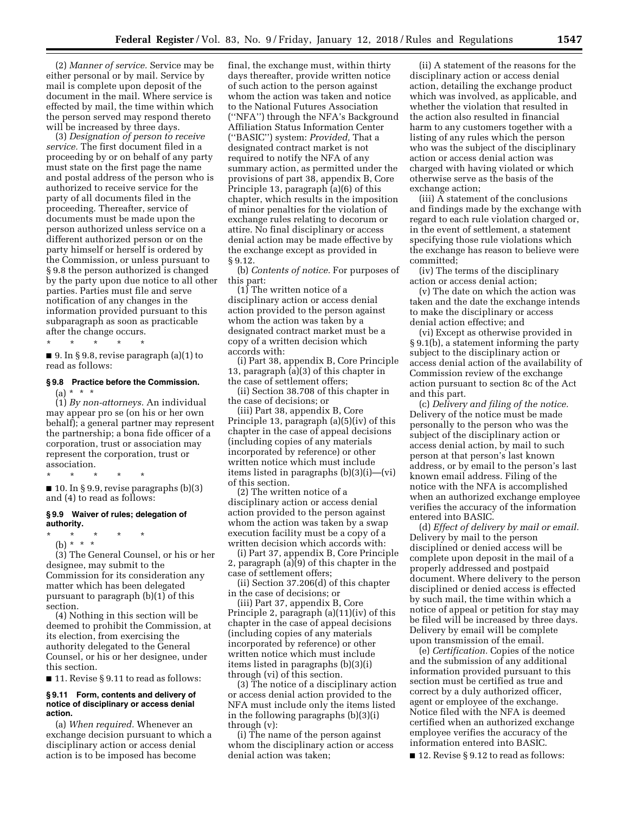(2) *Manner of service.* Service may be either personal or by mail. Service by mail is complete upon deposit of the document in the mail. Where service is effected by mail, the time within which the person served may respond thereto will be increased by three days.

(3) *Designation of person to receive service.* The first document filed in a proceeding by or on behalf of any party must state on the first page the name and postal address of the person who is authorized to receive service for the party of all documents filed in the proceeding. Thereafter, service of documents must be made upon the person authorized unless service on a different authorized person or on the party himself or herself is ordered by the Commission, or unless pursuant to § 9.8 the person authorized is changed by the party upon due notice to all other parties. Parties must file and serve notification of any changes in the information provided pursuant to this subparagraph as soon as practicable after the change occurs.

\* \* \* \* \* ■ 9. In § 9.8, revise paragraph (a)(1) to read as follows:

## **§ 9.8 Practice before the Commission.**   $(a) * * * *$

(1) *By non-attorneys.* An individual may appear pro se (on his or her own behalf); a general partner may represent the partnership; a bona fide officer of a corporation, trust or association may represent the corporation, trust or association.

\* \* \* \* \*

■ 10. In § 9.9, revise paragraphs (b)(3) and (4) to read as follows:

### **§ 9.9 Waiver of rules; delegation of authority.**

- \* \* \* \* \*
	- (b) \* \* \*

(3) The General Counsel, or his or her designee, may submit to the Commission for its consideration any matter which has been delegated pursuant to paragraph (b)(1) of this section.

(4) Nothing in this section will be deemed to prohibit the Commission, at its election, from exercising the authority delegated to the General Counsel, or his or her designee, under this section.

■ 11. Revise § 9.11 to read as follows:

## **§ 9.11 Form, contents and delivery of notice of disciplinary or access denial action.**

(a) *When required.* Whenever an exchange decision pursuant to which a disciplinary action or access denial action is to be imposed has become

final, the exchange must, within thirty days thereafter, provide written notice of such action to the person against whom the action was taken and notice to the National Futures Association (''NFA'') through the NFA's Background Affiliation Status Information Center (''BASIC'') system: *Provided,* That a designated contract market is not required to notify the NFA of any summary action, as permitted under the provisions of part 38, appendix B, Core Principle 13, paragraph (a)(6) of this chapter, which results in the imposition of minor penalties for the violation of exchange rules relating to decorum or attire. No final disciplinary or access denial action may be made effective by the exchange except as provided in § 9.12.

(b) *Contents of notice.* For purposes of this part:

(1) The written notice of a disciplinary action or access denial action provided to the person against whom the action was taken by a designated contract market must be a copy of a written decision which accords with:

(i) Part 38, appendix B, Core Principle 13, paragraph (a)(3) of this chapter in the case of settlement offers;

(ii) Section 38.708 of this chapter in the case of decisions; or

(iii) Part 38, appendix B, Core Principle 13, paragraph (a)(5)(iv) of this chapter in the case of appeal decisions (including copies of any materials incorporated by reference) or other written notice which must include items listed in paragraphs (b)(3)(i)—(vi) of this section.

(2) The written notice of a disciplinary action or access denial action provided to the person against whom the action was taken by a swap execution facility must be a copy of a written decision which accords with:

(i) Part 37, appendix B, Core Principle 2, paragraph (a)(9) of this chapter in the case of settlement offers;

(ii) Section 37.206(d) of this chapter in the case of decisions; or

(iii) Part 37, appendix B, Core Principle 2, paragraph (a)(11)(iv) of this chapter in the case of appeal decisions (including copies of any materials incorporated by reference) or other written notice which must include items listed in paragraphs (b)(3)(i) through (vi) of this section.

(3) The notice of a disciplinary action or access denial action provided to the NFA must include only the items listed in the following paragraphs (b)(3)(i) through (v):

(i) The name of the person against whom the disciplinary action or access denial action was taken;

(ii) A statement of the reasons for the disciplinary action or access denial action, detailing the exchange product which was involved, as applicable, and whether the violation that resulted in the action also resulted in financial harm to any customers together with a listing of any rules which the person who was the subject of the disciplinary action or access denial action was charged with having violated or which otherwise serve as the basis of the exchange action;

(iii) A statement of the conclusions and findings made by the exchange with regard to each rule violation charged or, in the event of settlement, a statement specifying those rule violations which the exchange has reason to believe were committed;

(iv) The terms of the disciplinary action or access denial action;

(v) The date on which the action was taken and the date the exchange intends to make the disciplinary or access denial action effective; and

(vi) Except as otherwise provided in § 9.1(b), a statement informing the party subject to the disciplinary action or access denial action of the availability of Commission review of the exchange action pursuant to section 8c of the Act and this part.

(c) *Delivery and filing of the notice.*  Delivery of the notice must be made personally to the person who was the subject of the disciplinary action or access denial action, by mail to such person at that person's last known address, or by email to the person's last known email address. Filing of the notice with the NFA is accomplished when an authorized exchange employee verifies the accuracy of the information entered into BASIC.

(d) *Effect of delivery by mail or email.*  Delivery by mail to the person disciplined or denied access will be complete upon deposit in the mail of a properly addressed and postpaid document. Where delivery to the person disciplined or denied access is effected by such mail, the time within which a notice of appeal or petition for stay may be filed will be increased by three days. Delivery by email will be complete upon transmission of the email.

(e) *Certification.* Copies of the notice and the submission of any additional information provided pursuant to this section must be certified as true and correct by a duly authorized officer, agent or employee of the exchange. Notice filed with the NFA is deemed certified when an authorized exchange employee verifies the accuracy of the information entered into BASIC.

■ 12. Revise § 9.12 to read as follows: